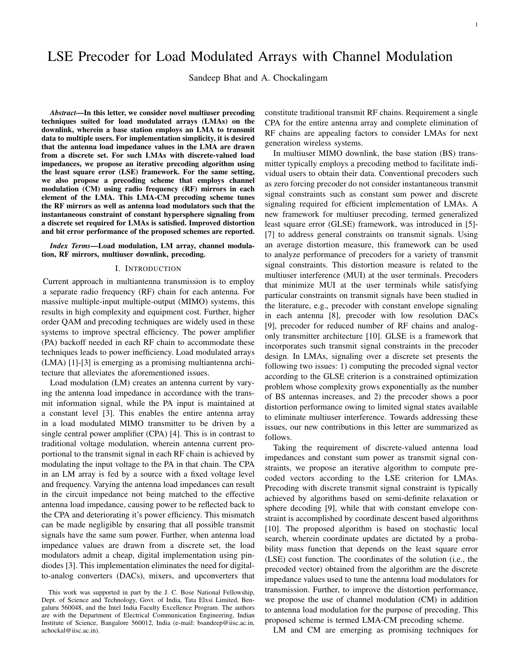# LSE Precoder for Load Modulated Arrays with Channel Modulation

Sandeep Bhat and A. Chockalingam

*Abstract*—In this letter, we consider novel multiuser precoding techniques suited for load modulated arrays (LMAs) on the downlink, wherein a base station employs an LMA to transmit data to multiple users. For implementation simplicity, it is desired that the antenna load impedance values in the LMA are drawn from a discrete set. For such LMAs with discrete-valued load impedances, we propose an iterative precoding algorithm using the least square error (LSE) framework. For the same setting, we also propose a precoding scheme that employs channel modulation (CM) using radio frequency (RF) mirrors in each element of the LMA. This LMA-CM precoding scheme tunes the RF mirrors as well as antenna load modulators such that the instantaneous constraint of constant hypersphere signaling from a discrete set required for LMAs is satisfied. Improved distortion and bit error performance of the proposed schemes are reported.

*Index Terms*—Load modulation, LM array, channel modulation, RF mirrors, multiuser downlink, precoding.

## I. INTRODUCTION

Current approach in multiantenna transmission is to employ a separate radio frequency (RF) chain for each antenna. For massive multiple-input multiple-output (MIMO) systems, this results in high complexity and equipment cost. Further, higher order QAM and precoding techniques are widely used in these systems to improve spectral efficiency. The power amplifier (PA) backoff needed in each RF chain to accommodate these techniques leads to power inefficiency. Load modulated arrays (LMA) [1]-[3] is emerging as a promising multiantenna architecture that alleviates the aforementioned issues.

Load modulation (LM) creates an antenna current by varying the antenna load impedance in accordance with the transmit information signal, while the PA input is maintained at a constant level [3]. This enables the entire antenna array in a load modulated MIMO transmitter to be driven by a single central power amplifier (CPA) [4]. This is in contrast to traditional voltage modulation, wherein antenna current proportional to the transmit signal in each RF chain is achieved by modulating the input voltage to the PA in that chain. The CPA in an LM array is fed by a source with a fixed voltage level and frequency. Varying the antenna load impedances can result in the circuit impedance not being matched to the effective antenna load impedance, causing power to be reflected back to the CPA and deteriorating it's power efficiency. This mismatch can be made negligible by ensuring that all possible transmit signals have the same sum power. Further, when antenna load impedance values are drawn from a discrete set, the load modulators admit a cheap, digital implementation using pindiodes [3]. This implementation eliminates the need for digitalto-analog converters (DACs), mixers, and upconverters that

This work was supported in part by the J. C. Bose National Fellowship, Dept. of Science and Technology, Govt. of India, Tata Elxsi Limited, Bengaluru 560048, and the Intel India Faculty Excellence Program. The authors are with the Department of Electrical Communication Engineering, Indian Institute of Science, Bangalore 560012, India (e-mail: bsandeep@iisc.ac.in, achockal@iisc.ac.in).

constitute traditional transmit RF chains. Requirement a single CPA for the entire antenna array and complete elimination of RF chains are appealing factors to consider LMAs for next generation wireless systems.

In multiuser MIMO downlink, the base station (BS) transmitter typically employs a precoding method to facilitate individual users to obtain their data. Conventional precoders such as zero forcing precoder do not consider instantaneous transmit signal constraints such as constant sum power and discrete signaling required for efficient implementation of LMAs. A new framework for multiuser precoding, termed generalized least square error (GLSE) framework, was introduced in [5]- [7] to address general constraints on transmit signals. Using an average distortion measure, this framework can be used to analyze performance of precoders for a variety of transmit signal constraints. This distortion measure is related to the multiuser interference (MUI) at the user terminals. Precoders that minimize MUI at the user terminals while satisfying particular constraints on transmit signals have been studied in the literature, e.g., precoder with constant envelope signaling in each antenna [8], precoder with low resolution DACs [9], precoder for reduced number of RF chains and analogonly transmitter architecture [10]. GLSE is a framework that incorporates such transmit signal constraints in the precoder design. In LMAs, signaling over a discrete set presents the following two issues: 1) computing the precoded signal vector according to the GLSE criterion is a constrained optimization problem whose complexity grows exponentially as the number of BS antennas increases, and 2) the precoder shows a poor distortion performance owing to limited signal states available to eliminate multiuser interference. Towards addressing these issues, our new contributions in this letter are summarized as follows.

Taking the requirement of discrete-valued antenna load impedances and constant sum power as transmit signal constraints, we propose an iterative algorithm to compute precoded vectors according to the LSE criterion for LMAs. Precoding with discrete transmit signal constraint is typically achieved by algorithms based on semi-definite relaxation or sphere decoding [9], while that with constant envelope constraint is accomplished by coordinate descent based algorithms [10]. The proposed algorithm is based on stochastic local search, wherein coordinate updates are dictated by a probability mass function that depends on the least square error (LSE) cost function. The coordinates of the solution (i.e., the precoded vector) obtained from the algorithm are the discrete impedance values used to tune the antenna load modulators for transmission. Further, to improve the distortion performance, we propose the use of channel modulation (CM) in addition to antenna load modulation for the purpose of precoding. This proposed scheme is termed LMA-CM precoding scheme.

LM and CM are emerging as promising techniques for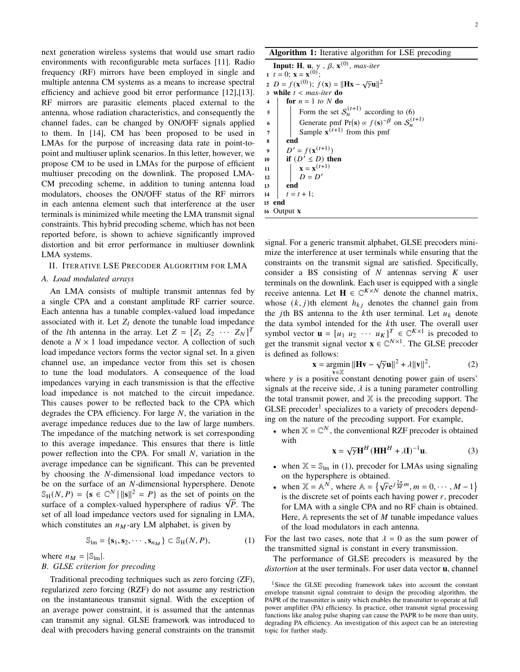next generation wireless systems that would use smart radio environments with reconfigurable meta surfaces [11]. Radio frequency (RF) mirrors have been employed in single and multiple antenna CM systems as a means to increase spectral efficiency and achieve good bit error performance [12],[13]. RF mirrors are parasitic elements placed external to the antenna, whose radiation characteristics, and consequently the channel fades, can be changed by ON/OFF signals applied to them. In [14], CM has been proposed to be used in LMAs for the purpose of increasing data rate in point-topoint and multiuser uplink scenarios. In this letter, however, we propose CM to be used in LMAs for the purpose of efficient multiuser precoding on the downlink. The proposed LMA-CM precoding scheme, in addition to tuning antenna load modulators, chooses the ON/OFF status of the RF mirrors in each antenna element such that interference at the user terminals is minimized while meeting the LMA transmit signal constraints. This hybrid precoding scheme, which has not been reported before, is shown to achieve significantly improved distortion and bit error performance in multiuser downlink LMA systems.

## II. ITERATIVE LSE PRECODER ALGORITHM FOR LMA

## *A. Load modulated arrays*

An LMA consists of multiple transmit antennas fed by a single CPA and a constant amplitude RF carrier source. Each antenna has a tunable complex-valued load impedance associated with it. Let  $Z_l$  denote the tunable load impedance of the *l*th antenna in the array. Let  $Z = [Z_1 \ Z_2 \ \cdots \ Z_N]^T$ denote a  $N \times 1$  load impedance vector. A collection of such load impedance vectors forms the vector signal set. In a given channel use, an impedance vector from this set is chosen to tune the load modulators. A consequence of the load impedances varying in each transmission is that the effective load impedance is not matched to the circuit impedance. This causes power to be reflected back to the CPA which degrades the CPA efficiency. For large  $N$ , the variation in the average impedance reduces due to the law of large numbers. The impedance of the matching network is set corresponding to this average impedance. This ensures that there is little power reflection into the CPA. For small  $N$ , variation in the average impedance can be significant. This can be prevented by choosing the N-dimensional load impedance vectors to be on the surface of an  $N$ -dimensional hypersphere. Denote  $\mathbb{S}_{\mathrm{H}}(N, P) = \{ \mathbf{s} \in \mathbb{C}^N \mid ||\mathbf{s}||^2 = P \}$  as the set of points on the  $\text{S}_{\text{H}}(N, P) = \{ \mathbf{s} \in \mathbb{C}^{\times} \mid ||\mathbf{s}||^2 = P \}$  as the set of points on the surface of a complex-valued hypersphere of radius  $\sqrt{P}$ . The set of all load impedance vectors used for signaling in LMA, which constitutes an  $n_M$ -ary LM alphabet, is given by

$$
\mathbb{S}_{\text{Im}} = \{ \mathbf{s}_1, \mathbf{s}_2, \cdots, \mathbf{s}_{n_M} \} \subset \mathbb{S}_{\text{H}}(N, P), \tag{1}
$$

where  $n_M = |\mathbb{S}_{lm}|$ .

# *B. GLSE criterion for precoding*

Traditional precoding techniques such as zero forcing (ZF), regularized zero forcing (RZF) do not assume any restriction on the instantaneous transmit signal. With the exception of an average power constraint, it is assumed that the antennas can transmit any signal. GLSE framework was introduced to deal with precoders having general constraints on the transmit

Algorithm 1: Iterative algorithm for LSE precoding

**Input: H**, **u**,  $\gamma$  ,  $\beta$ ,  $\mathbf{x}^{(0)}$ , *max-iter* 1  $t = 0$ ;  $\mathbf{x} = \mathbf{x}^{(0)}$ ;  $2 D = f(\mathbf{x}^{(0)}); f(\mathbf{x}) = ||\mathbf{H}\mathbf{x} - \sqrt{\gamma}\mathbf{u}||^2$ 3 while  $t < max$ -iter do  $4 \mid \text{for } n = 1 \text{ to } N \text{ do}$  $\mathfrak{s}$  | Form the set  $\mathcal{S}_n^{(t+1)}$  according to (6) 6 Generate pmf  $Pr(s) \propto f(s)^{-\beta}$  on  $S_n^{(t+1)}$  $7 \mid$  Sample  $\mathbf{x}^{(t+1)}$  from this pmf <sup>8</sup> end 9  $D' = f(\mathbf{x}^{(t+1)})$ 10 if  $(D^{\prime} \leq D)$  then 11 **x** =  $\mathbf{x}^{(t+1)}$  $12 \mid D = D'$  $13$  end 14  $t = t + 1;$ <sup>15</sup> end <sup>16</sup> Output **x**

signal. For a generic transmit alphabet, GLSE precoders minimize the interference at user terminals while ensuring that the constraints on the transmit signal are satisfied. Specifically, consider a BS consisting of  $N$  antennas serving  $K$  user terminals on the downlink. Each user is equipped with a single receive antenna. Let  $\mathbf{H} \in \mathbb{C}^{K \times N}$  denote the channel matrix, whose  $(k, j)$ th element  $h_{kj}$  denotes the channel gain from the *j*th BS antenna to the *k*th user terminal. Let  $u_k$  denote the data symbol intended for the  $k$ th user. The overall user symbol vector  $\mathbf{u} = [u_1 \ u_2 \ \cdots \ u_K]^T \in \mathbb{C}^{K \times 1}$  is precoded to get the transmit signal vector  $\mathbf{x} \in \mathbb{C}^{N \times 1}$ . The GLSE precoder is defined as follows: √

$$
\mathbf{x} = \underset{\mathbf{x} \in \mathcal{V}}{\text{argmin}} \|\mathbf{H}\mathbf{v} - \sqrt{\gamma}\mathbf{u}\|^2 + \lambda \|\mathbf{v}\|^2, \tag{2}
$$

where  $\gamma$  is a positive constant denoting power gain of users' signals at the receive side,  $\lambda$  is a tuning parameter controlling the total transmit power, and  $X$  is the precoding support. The GLSE precoder<sup>1</sup> specializes to a variety of precoders depending on the nature of the precoding support. For example,

• when  $\mathbb{X} = \mathbb{C}^N$ , the conventional RZF precoder is obtained with √

$$
\mathbf{x} = \sqrt{\gamma} \mathbf{H}^{H} (\mathbf{H} \mathbf{H}^{H} + \lambda \mathbf{I})^{-1} \mathbf{u}.
$$
 (3)

- when  $X = S_{lm}$  in (1), precoder for LMAs using signaling on the hypersphere is obtained.
- when  $\mathbb{X} = \mathbb{A}^N$ , where  $\mathbb{A} = \{ \sqrt{r} e^{j \frac{2\pi}{M} m}, m = 0, \cdots, M 1 \}$ is the discrete set of points each having power  $r$ , precoder for LMA with a single CPA and no RF chain is obtained. Here,  $A$  represents the set of  $M$  tunable impedance values of the load modulators in each antenna.

For the last two cases, note that  $\lambda = 0$  as the sum power of the transmitted signal is constant in every transmission.

The performance of GLSE precoders is measured by the *distortion* at the user terminals. For user data vector **u**, channel

<sup>&</sup>lt;sup>1</sup>Since the GLSE precoding framework takes into account the constant envelope transmit signal constraint to design the precoding algorithm, the PAPR of the transmitter is unity which enables the transmitter to operate at full power amplifier (PA) efficiency. In practice, other transmit signal processing functions like analog pulse shaping can cause the PAPR to be more than unity, degrading PA efficiency. An investigation of this aspect can be an interesting topic for further study.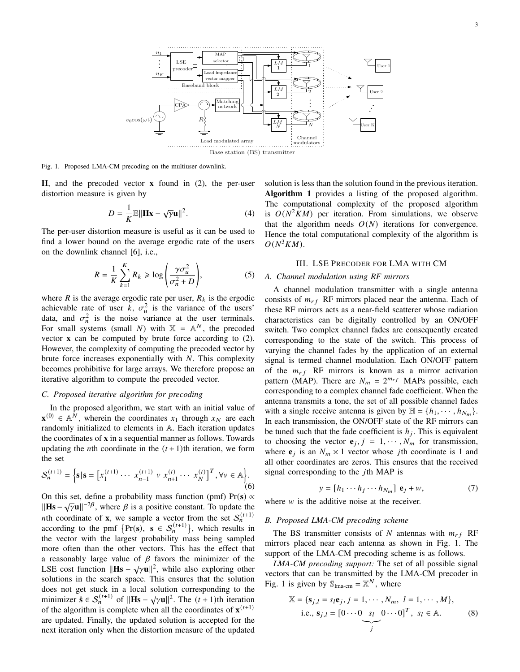

Fig. 1. Proposed LMA-CM precoding on the multiuser downlink.

**H**, and the precoded vector **x** found in (2), the per-user distortion measure is given by

$$
D = \frac{1}{K} \mathbb{E} ||\mathbf{Hx} - \sqrt{\gamma} \mathbf{u}||^2.
$$
 (4)

The per-user distortion measure is useful as it can be used to find a lower bound on the average ergodic rate of the users on the downlink channel [6], i.e.,

$$
R = \frac{1}{K} \sum_{k=1}^{K} R_k \ge \log \left( \frac{\gamma \sigma_u^2}{\sigma_n^2 + D} \right),\tag{5}
$$

where  $R$  is the average ergodic rate per user,  $R_k$  is the ergodic achievable rate of user k,  $\sigma_u^2$  is the variance of the users' data, and  $\sigma_n^2$  is the noise variance at the user terminals. For small systems (small N) with  $X = A^N$ , the precoded vector **x** can be computed by brute force according to (2). However, the complexity of computing the precoded vector by brute force increases exponentially with  $N$ . This complexity becomes prohibitive for large arrays. We therefore propose an iterative algorithm to compute the precoded vector.

## *C. Proposed iterative algorithm for precoding*

In the proposed algorithm, we start with an initial value of  $\mathbf{x}^{(0)} \in \mathbb{A}^N$ , wherein the coordinates  $x_1$  through  $x_N$  are each randomly initialized to elements in A. Each iteration updates the coordinates of **x** in a sequential manner as follows. Towards updating the *n*th coordinate in the  $(t + 1)$ th iteration, we form the set

$$
S_n^{(t+1)} = \left\{ \mathbf{s} \, | \, \mathbf{s} = \left[ x_1^{(t+1)} \cdots \ x_{n-1}^{(t+1)} \, v \ x_{n+1}^{(t)} \cdots \ x_N^{(t)} \right]^T, \forall v \in \mathbb{A} \right\}.
$$
\n
$$
(6)
$$

On this set, define a probability mass function (pmf)  $Pr(s) \propto$ Here  $\frac{1}{\text{H}}$  is  $\frac{1}{\sqrt{7}}$  where  $\beta$  is a positive constant. To update the which coordinate of **x**, we sample a vector from the set  $S_n^{(t+1)}$ according to the pmf  $\{Pr(s), s \in S_n^{(t+1)}\}$ , which results in the vector with the largest probability mass being sampled more often than the other vectors. This has the effect that a reasonably large value of  $\beta$  favors the minimizer of the LSE cost function  $\|\textbf{Hs} - \sqrt{\gamma} \textbf{u}\|^2$ , while also exploring other solutions in the search space. This ensures that the solution does not get stuck in a local solution corresponding to the minimizer  $\hat{\mathbf{s}} \in S_n^{(t+1)}$  of  $\|\mathbf{H}\mathbf{s} - \sqrt{\gamma} \mathbf{u}\|^2$ . The  $(t+1)$ th iteration of the algorithm is complete when all the coordinates of  $\mathbf{x}^{(t+1)}$ are updated. Finally, the updated solution is accepted for the next iteration only when the distortion measure of the updated

solution is less than the solution found in the previous iteration. Algorithm 1 provides a listing of the proposed algorithm. The computational complexity of the proposed algorithm is  $O(N^2KM)$  per iteration. From simulations, we observe that the algorithm needs  $O(N)$  iterations for convergence. Hence the total computational complexity of the algorithm is  $O(N^3KM)$ .

## III. LSE PRECODER FOR LMA WITH CM

## *A. Channel modulation using RF mirrors*

A channel modulation transmitter with a single antenna consists of  $m_{rf}$  RF mirrors placed near the antenna. Each of these RF mirrors acts as a near-field scatterer whose radiation characteristics can be digitally controlled by an ON/OFF switch. Two complex channel fades are consequently created corresponding to the state of the switch. This process of varying the channel fades by the application of an external signal is termed channel modulation. Each ON/OFF pattern of the  $m_{rf}$  RF mirrors is known as a mirror activation pattern (MAP). There are  $N_m = 2^{m_{rf}}$  MAPs possible, each corresponding to a complex channel fade coefficient. When the antenna transmits a tone, the set of all possible channel fades with a single receive antenna is given by  $\mathbb{H} = \{h_1, \dots, h_{N_m}\}.$ In each transmission, the ON/OFF state of the RF mirrors can be tuned such that the fade coefficient is  $h_j$ . This is equivalent to choosing the vector  $e_j$ ,  $j = 1, \dots, N_m$  for transmission, where  $e_j$  is an  $N_m \times 1$  vector whose *j*th coordinate is 1 and all other coordinates are zeros. This ensures that the received signal corresponding to the  $j$ th MAP is

$$
y = [h_1 \cdots h_j \cdots h_{N_m}] \mathbf{e}_j + w,\tag{7}
$$

where  $w$  is the additive noise at the receiver.

#### *B. Proposed LMA-CM precoding scheme*

The BS transmitter consists of  $N$  antennas with  $m_{rf}$  RF mirrors placed near each antenna as shown in Fig. 1. The support of the LMA-CM precoding scheme is as follows.

*LMA-CM precoding support:* The set of all possible signal vectors that can be transmitted by the LMA-CM precoder in Fig. 1 is given by  $\mathbb{S}_{\text{Ima-cm}} = \mathbb{X}^N$ , where

$$
\mathbb{X} = \{\mathbf{s}_{j,l} = s_l \mathbf{e}_j, j = 1, \cdots, N_m, l = 1, \cdots, M\},
$$
  
i.e.,  $\mathbf{s}_{j,l} = [0 \cdots 0 \underbrace{s_l \quad 0 \cdots 0}]^T$ ,  $s_l \in \mathbb{A}$ . (8)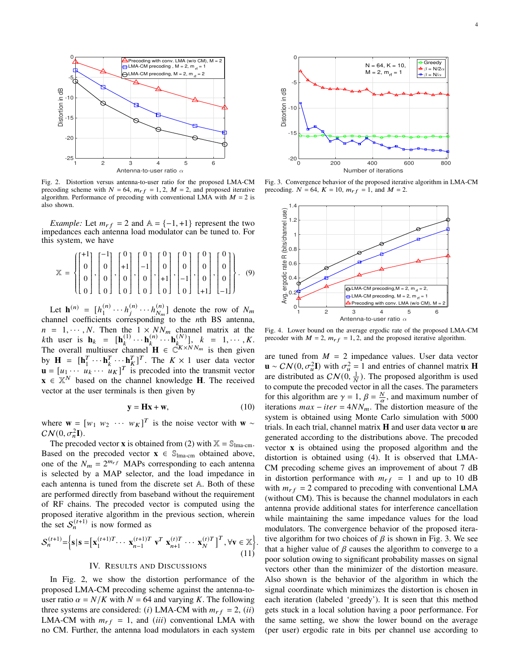

Fig. 2. Distortion versus antenna-to-user ratio for the proposed LMA-CM precoding scheme with  $N = 64$ ,  $m_{rf} = 1, 2, M = 2$ , and proposed iterative algorithm. Performance of precoding with conventional LMA with  $M = 2$  is also shown.

*Example:* Let  $m_{rf} = 2$  and  $A = \{-1, +1\}$  represent the two impedances each antenna load modulator can be tuned to. For this system, we have

$$
\mathbb{X} = \left\{ \begin{bmatrix} +1 \\ 0 \\ 0 \\ 0 \\ 0 \end{bmatrix}, \begin{bmatrix} -1 \\ 0 \\ 0 \\ 0 \\ 0 \end{bmatrix}, \begin{bmatrix} 0 \\ +1 \\ 0 \\ 0 \\ 0 \end{bmatrix}, \begin{bmatrix} 0 \\ -1 \\ 0 \\ 0 \\ 0 \end{bmatrix}, \begin{bmatrix} 0 \\ 0 \\ +1 \\ 0 \\ 0 \end{bmatrix}, \begin{bmatrix} 0 \\ 0 \\ -1 \\ 0 \\ 0 \end{bmatrix}, \begin{bmatrix} 0 \\ 0 \\ 0 \\ -1 \end{bmatrix}, \begin{bmatrix} 0 \\ 0 \\ 0 \\ -1 \end{bmatrix} \right\}. (9)
$$

Let  $h^{(n)} = [h_1^{(n)}]$  $h_1^{(n)} \cdots h_j^{(n)} \cdots h_{N_m}^{(n)}$  $\binom{n}{N_m}$  denote the row of  $N_m$ channel coefficients corresponding to the *n*th BS antenna,  $n = 1, \dots, N$ . Then the  $1 \times NN_m$  channel matrix at the kth user is  $\mathbf{h}_k = [\mathbf{h}_k^{(1)} \cdots \mathbf{h}_k^{(n)} \cdots \mathbf{h}_k^{(N)}], k = 1, \cdots, K.$ The overall multiuser channel  $\mathbf{H} \in \mathbb{C}^{K \times N N_m}$  is then given by  $\mathbf{H} = [\mathbf{h}_1^T]$  $T_1 \cdots \mathbf{h}_k^T \cdots \mathbf{h}_k^T$ <sup>T</sup>. The  $K \times 1$  user data vector  $\mathbf{u} = [u_1 \cdots u_k \cdots u_K]^T$  is precoded into the transmit vector  $\mathbf{x} \in \mathbb{X}^N$  based on the channel knowledge **H**. The received vector at the user terminals is then given by

$$
y = Hx + w,\t(10)
$$

.

where **w** =  $[w_1 \ w_2 \ \cdots \ w_K]^T$  is the noise vector with **w** ~  $CN(0, \sigma_n^2I).$ 

The precoded vector **x** is obtained from (2) with  $\mathbb{X} = \mathbb{S}_{\text{Ima-cm}}$ . Based on the precoded vector  $\mathbf{x} \in \mathbb{S}_{\text{Ima-cm}}$  obtained above, one of the  $N_m = 2^{m_{rf}}$  MAPs corresponding to each antenna is selected by a MAP selector, and the load impedance in each antenna is tuned from the discrete set A. Both of these are performed directly from baseband without the requirement of RF chains. The precoded vector is computed using the proposed iterative algorithm in the previous section, wherein the set  $S_n^{(t+1)}$  is now formed as

$$
\mathcal{S}_n^{(t+1)} = \left\{ \mathbf{s} \, | \, \mathbf{s} = \left[ \mathbf{x}_1^{(t+1)T} \cdots \mathbf{x}_{n-1}^{(t+1)T} \mathbf{v}^T \mathbf{x}_{n+1}^{(t)T} \cdots \mathbf{x}_N^{(t)T} \right]^T, \forall \mathbf{v} \in \mathbb{X} \right\}
$$
\n(11)

#### IV. RESULTS AND DISCUSSIONS

In Fig. 2, we show the distortion performance of the proposed LMA-CM precoding scheme against the antenna-touser ratio  $\alpha = N/K$  with  $N = 64$  and varying K. The following three systems are considered: (*i*) LMA-CM with  $m_{rf} = 2$ , (*ii*) LMA-CM with  $m_{rf} = 1$ , and (*iii*) conventional LMA with



Fig. 3. Convergence behavior of the proposed iterative algorithm in LMA-CM precoding.  $N = 64$ ,  $K = 10$ ,  $m_{rf} = 1$ , and  $M = 2$ .



Fig. 4. Lower bound on the average ergodic rate of the proposed LMA-CM precoder with  $M = 2$ ,  $m_{rf} = 1, 2$ , and the proposed iterative algorithm.

Furthermore and the model with the system of the system of the antenna load model with  $V = 0$ <br>
Further the antenna load model with the system of the system of the system of the antenna load model with  $V = 0$ . The system o are tuned from  $M = 2$  impedance values. User data vector  $\mathbf{u} \sim \mathcal{CN}(0, \sigma_u^2 \mathbf{I})$  with  $\sigma_u^2 = 1$  and entries of channel matrix **H** are distributed as  $CN(0, \frac{1}{N})$ . The proposed algorithm is used to compute the precoded vector in all the cases. The parameters for this algorithm are  $\gamma = 1$ ,  $\beta = \frac{N}{\alpha}$ , and maximum number of iterations  $max - iter = 4NN_m$ . The distortion measure of the system is obtained using Monte Carlo simulation with 5000 trials. In each trial, channel matrix **H** and user data vector **u** are generated according to the distributions above. The precoded vector **x** is obtained using the proposed algorithm and the distortion is obtained using (4). It is observed that LMA-CM precoding scheme gives an improvement of about 7 dB in distortion performance with  $m_{rf} = 1$  and up to 10 dB with  $m_{rf} = 2$  compared to precoding with conventional LMA (without CM). This is because the channel modulators in each antenna provide additional states for interference cancellation while maintaining the same impedance values for the load modulators. The convergence behavior of the proposed iterative algorithm for two choices of  $\beta$  is shown in Fig. 3. We see that a higher value of  $\beta$  causes the algorithm to converge to a poor solution owing to significant probability masses on signal vectors other than the minimizer of the distortion measure. Also shown is the behavior of the algorithm in which the signal coordinate which minimizes the distortion is chosen in each iteration (labeled 'greedy'). It is seen that this method gets stuck in a local solution having a poor performance. For the same setting, we show the lower bound on the average (per user) ergodic rate in bits per channel use according to